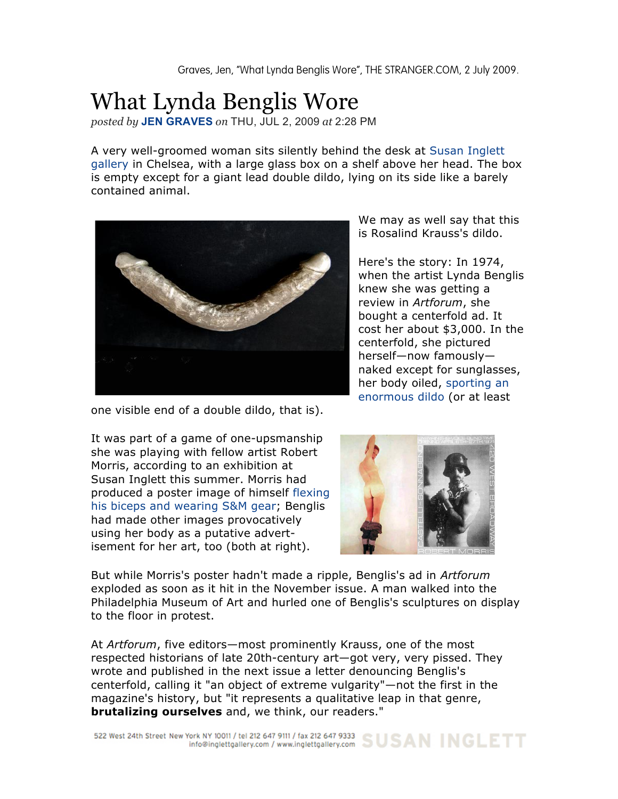## What Lynda Benglis Wore

*posted by* **JEN GRAVES** *on* THU, JUL 2, 2009 *at* 2:28 PM

A very well-groomed woman sits silently behind the desk at Susan Inglett gallery in Chelsea, with a large glass box on a shelf above her head. The box is empty except for a giant lead double dildo, lying on its side like a barely contained animal.



one visible end of a double dildo, that is).

It was part of a game of one-upsmanship she was playing with fellow artist Robert Morris, according to an exhibition at Susan Inglett this summer. Morris had produced a poster image of himself flexing his biceps and wearing S&M gear; Benglis had made other images provocatively using her body as a putative advertisement for her art, too (both at right).

We may as well say that this is Rosalind Krauss's dildo.

Here's the story: In 1974, when the artist Lynda Benglis knew she was getting a review in *Artforum*, she bought a centerfold ad. It cost her about \$3,000. In the centerfold, she pictured herself—now famously naked except for sunglasses, her body oiled, sporting an enormous dildo (or at least



But while Morris's poster hadn't made a ripple, Benglis's ad in *Artforum* exploded as soon as it hit in the November issue. A man walked into the Philadelphia Museum of Art and hurled one of Benglis's sculptures on display to the floor in protest.

At *Artforum*, five editors—most prominently Krauss, one of the most respected historians of late 20th-century art—got very, very pissed. They wrote and published in the next issue a letter denouncing Benglis's centerfold, calling it "an object of extreme vulgarity"—not the first in the magazine's history, but "it represents a qualitative leap in that genre, **brutalizing ourselves** and, we think, our readers."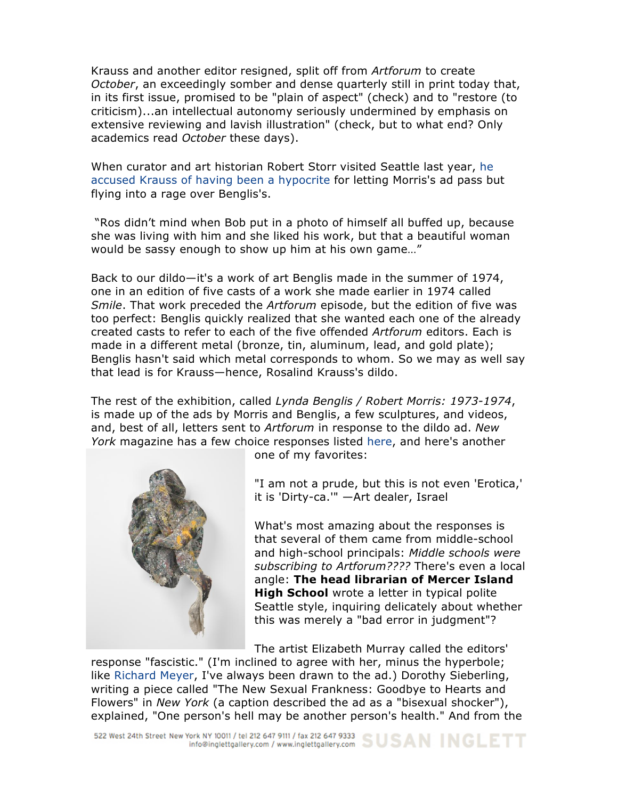Krauss and another editor resigned, split off from *Artforum* to create *October*, an exceedingly somber and dense quarterly still in print today that, in its first issue, promised to be "plain of aspect" (check) and to "restore (to criticism)...an intellectual autonomy seriously undermined by emphasis on extensive reviewing and lavish illustration" (check, but to what end? Only academics read *October* these days).

When curator and art historian Robert Storr visited Seattle last year, he accused Krauss of having been a hypocrite for letting Morris's ad pass but flying into a rage over Benglis's.

"Ros didn't mind when Bob put in a photo of himself all buffed up, because she was living with him and she liked his work, but that a beautiful woman would be sassy enough to show up him at his own game…"

Back to our dildo—it's a work of art Benglis made in the summer of 1974, one in an edition of five casts of a work she made earlier in 1974 called *Smile*. That work preceded the *Artforum* episode, but the edition of five was too perfect: Benglis quickly realized that she wanted each one of the already created casts to refer to each of the five offended *Artforum* editors. Each is made in a different metal (bronze, tin, aluminum, lead, and gold plate); Benglis hasn't said which metal corresponds to whom. So we may as well say that lead is for Krauss—hence, Rosalind Krauss's dildo.

The rest of the exhibition, called *Lynda Benglis / Robert Morris: 1973-1974*, is made up of the ads by Morris and Benglis, a few sculptures, and videos, and, best of all, letters sent to *Artforum* in response to the dildo ad. *New York* magazine has a few choice responses listed here, and here's another



one of my favorites:

"I am not a prude, but this is not even 'Erotica,' it is 'Dirty-ca.'" —Art dealer, Israel

What's most amazing about the responses is that several of them came from middle-school and high-school principals: *Middle schools were subscribing to Artforum????* There's even a local angle: **The head librarian of Mercer Island High School** wrote a letter in typical polite Seattle style, inquiring delicately about whether this was merely a "bad error in judgment"?

The artist Elizabeth Murray called the editors'

response "fascistic." (I'm inclined to agree with her, minus the hyperbole; like Richard Meyer, I've always been drawn to the ad.) Dorothy Sieberling, writing a piece called "The New Sexual Frankness: Goodbye to Hearts and Flowers" in *New York* (a caption described the ad as a "bisexual shocker"), explained, "One person's hell may be another person's health." And from the